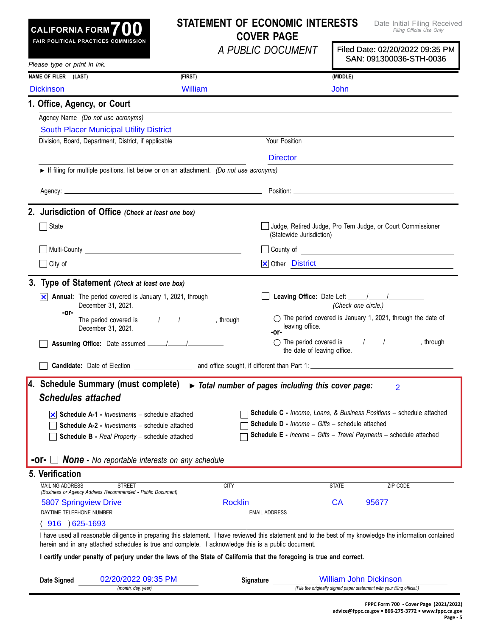| <b>CALIFORNIA FORM</b> 700<br>FAIR POLITICAL PRACTICES COMMISSION                                                                                                                                                                                                 |                     |                  | <b>STATEMENT OF ECONOMIC INTERESTS</b><br><b>COVER PAGE</b> |                     | Date Initial Filing Received<br>Filing Official Use Only                                                                                                                                                                             |
|-------------------------------------------------------------------------------------------------------------------------------------------------------------------------------------------------------------------------------------------------------------------|---------------------|------------------|-------------------------------------------------------------|---------------------|--------------------------------------------------------------------------------------------------------------------------------------------------------------------------------------------------------------------------------------|
|                                                                                                                                                                                                                                                                   |                     |                  | A PUBLIC DOCUMENT                                           |                     | Filed Date: 02/20/2022 09:35 PM<br>SAN: 091300036-STH-0036                                                                                                                                                                           |
| Please type or print in ink.                                                                                                                                                                                                                                      |                     |                  |                                                             |                     |                                                                                                                                                                                                                                      |
| NAME OF FILER (LAST)                                                                                                                                                                                                                                              | (FIRST)             |                  |                                                             | (MIDDLE)            |                                                                                                                                                                                                                                      |
| <b>Dickinson</b>                                                                                                                                                                                                                                                  | William             |                  |                                                             | <b>John</b>         |                                                                                                                                                                                                                                      |
| 1. Office, Agency, or Court                                                                                                                                                                                                                                       |                     |                  |                                                             |                     |                                                                                                                                                                                                                                      |
| Agency Name (Do not use acronyms)                                                                                                                                                                                                                                 |                     |                  |                                                             |                     |                                                                                                                                                                                                                                      |
| <b>South Placer Municipal Utility District</b>                                                                                                                                                                                                                    |                     |                  |                                                             |                     |                                                                                                                                                                                                                                      |
| Division, Board, Department, District, if applicable                                                                                                                                                                                                              |                     |                  | Your Position                                               |                     |                                                                                                                                                                                                                                      |
|                                                                                                                                                                                                                                                                   |                     |                  | <b>Director</b>                                             |                     |                                                                                                                                                                                                                                      |
| If filing for multiple positions, list below or on an attachment. (Do not use acronyms)                                                                                                                                                                           |                     |                  |                                                             |                     |                                                                                                                                                                                                                                      |
|                                                                                                                                                                                                                                                                   |                     |                  |                                                             |                     |                                                                                                                                                                                                                                      |
| 2. Jurisdiction of Office (Check at least one box)                                                                                                                                                                                                                |                     |                  |                                                             |                     |                                                                                                                                                                                                                                      |
| State                                                                                                                                                                                                                                                             |                     |                  | (Statewide Jurisdiction)                                    |                     | Judge, Retired Judge, Pro Tem Judge, or Court Commissioner                                                                                                                                                                           |
|                                                                                                                                                                                                                                                                   |                     |                  |                                                             |                     | County of <u>County of County of County of County of County of County of County of County of County of County of County of County of County of County of County of County of County of County of County of County of County of C</u> |
|                                                                                                                                                                                                                                                                   |                     |                  | <b>X</b> Other District                                     |                     |                                                                                                                                                                                                                                      |
| 3. Type of Statement (Check at least one box)                                                                                                                                                                                                                     |                     |                  |                                                             |                     |                                                                                                                                                                                                                                      |
| $\overline{\times}$ Annual: The period covered is January 1, 2021, through<br>December 31, 2021.                                                                                                                                                                  |                     |                  |                                                             | (Check one circle.) |                                                                                                                                                                                                                                      |
| -or-<br>December 31, 2021.                                                                                                                                                                                                                                        |                     |                  | leaving office.<br>-or-                                     |                     | ◯ The period covered is January 1, 2021, through the date of                                                                                                                                                                         |
|                                                                                                                                                                                                                                                                   |                     |                  | the date of leaving office.                                 |                     |                                                                                                                                                                                                                                      |
|                                                                                                                                                                                                                                                                   |                     |                  |                                                             |                     |                                                                                                                                                                                                                                      |
| 4. Schedule Summary (must complete)                                                                                                                                                                                                                               |                     |                  | > Total number of pages including this cover page:          |                     | 2                                                                                                                                                                                                                                    |
| <b>Schedules attached</b>                                                                                                                                                                                                                                         |                     |                  |                                                             |                     |                                                                                                                                                                                                                                      |
| $ \mathbf{x} $ Schedule A-1 - <i>Investments</i> – schedule attached                                                                                                                                                                                              |                     |                  |                                                             |                     | Schedule C - Income, Loans, & Business Positions - schedule attached                                                                                                                                                                 |
| <b>Schedule A-2 - Investments - schedule attached</b>                                                                                                                                                                                                             |                     |                  | Schedule D - Income - Gifts - schedule attached             |                     |                                                                                                                                                                                                                                      |
| Schedule B - Real Property - schedule attached                                                                                                                                                                                                                    |                     |                  |                                                             |                     | Schedule E - Income - Gifts - Travel Payments - schedule attached                                                                                                                                                                    |
| <b>-Or-</b> $\Box$ <b>None</b> - No reportable interests on any schedule                                                                                                                                                                                          |                     |                  |                                                             |                     |                                                                                                                                                                                                                                      |
| 5. Verification                                                                                                                                                                                                                                                   |                     |                  |                                                             |                     |                                                                                                                                                                                                                                      |
| <b>MAILING ADDRESS</b><br><b>STREET</b><br>(Business or Agency Address Recommended - Public Document)                                                                                                                                                             |                     | <b>CITY</b>      |                                                             | <b>STATE</b>        | ZIP CODE                                                                                                                                                                                                                             |
| <b>5807 Springview Drive</b>                                                                                                                                                                                                                                      |                     | <b>Rocklin</b>   |                                                             | <b>CA</b>           | 95677                                                                                                                                                                                                                                |
| DAYTIME TELEPHONE NUMBER                                                                                                                                                                                                                                          |                     |                  | <b>EMAIL ADDRESS</b>                                        |                     |                                                                                                                                                                                                                                      |
| 916 ) 625-1693                                                                                                                                                                                                                                                    |                     |                  |                                                             |                     |                                                                                                                                                                                                                                      |
| I have used all reasonable diligence in preparing this statement. I have reviewed this statement and to the best of my knowledge the information contained<br>herein and in any attached schedules is true and complete. I acknowledge this is a public document. |                     |                  |                                                             |                     |                                                                                                                                                                                                                                      |
| I certify under penalty of perjury under the laws of the State of California that the foregoing is true and correct.                                                                                                                                              |                     |                  |                                                             |                     |                                                                                                                                                                                                                                      |
| Date Signed                                                                                                                                                                                                                                                       | 02/20/2022 09:35 PM | <b>Signature</b> |                                                             |                     | <b>William John Dickinson</b>                                                                                                                                                                                                        |
| (month, day, year)                                                                                                                                                                                                                                                |                     |                  |                                                             |                     | (File the originally signed paper statement with your filing official.)                                                                                                                                                              |